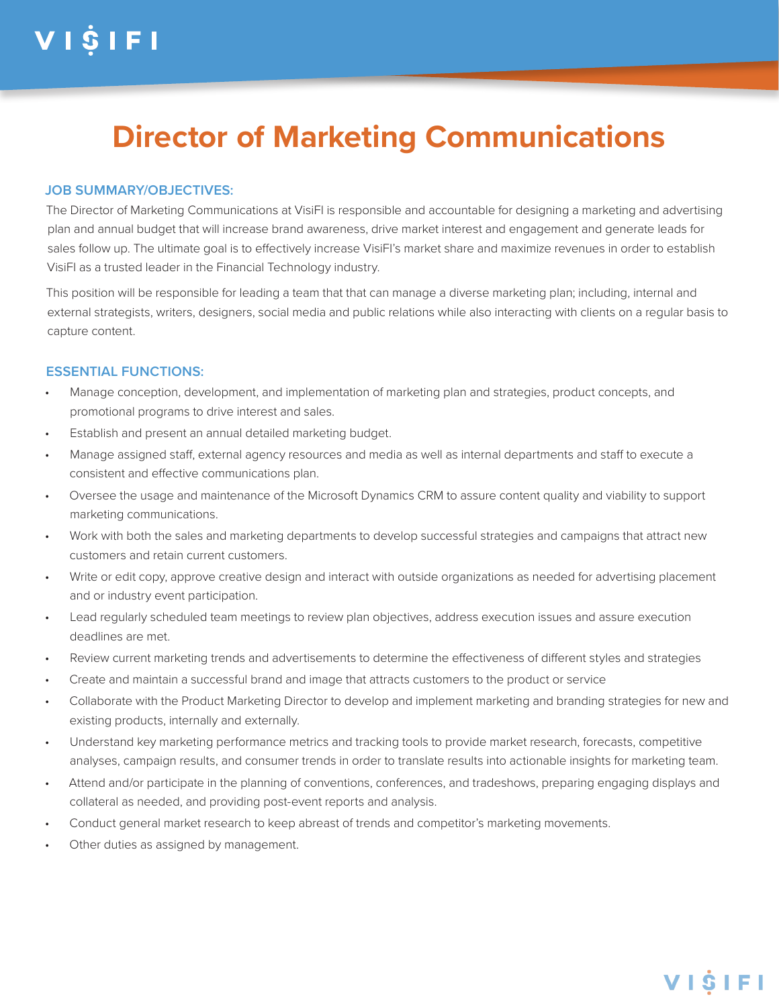## **Director of Marketing Communications**

#### **JOB SUMMARY/OBJECTIVES:**

The Director of Marketing Communications at VisiFI is responsible and accountable for designing a marketing and advertising plan and annual budget that will increase brand awareness, drive market interest and engagement and generate leads for sales follow up. The ultimate goal is to effectively increase VisiFI's market share and maximize revenues in order to establish VisiFI as a trusted leader in the Financial Technology industry.

This position will be responsible for leading a team that that can manage a diverse marketing plan; including, internal and external strategists, writers, designers, social media and public relations while also interacting with clients on a regular basis to capture content.

#### **ESSENTIAL FUNCTIONS:**

- Manage conception, development, and implementation of marketing plan and strategies, product concepts, and promotional programs to drive interest and sales.
- Establish and present an annual detailed marketing budget.
- Manage assigned staff, external agency resources and media as well as internal departments and staff to execute a consistent and effective communications plan.
- Oversee the usage and maintenance of the Microsoft Dynamics CRM to assure content quality and viability to support marketing communications.
- Work with both the sales and marketing departments to develop successful strategies and campaigns that attract new customers and retain current customers.
- Write or edit copy, approve creative design and interact with outside organizations as needed for advertising placement and or industry event participation.
- Lead regularly scheduled team meetings to review plan objectives, address execution issues and assure execution deadlines are met.
- Review current marketing trends and advertisements to determine the effectiveness of different styles and strategies
- Create and maintain a successful brand and image that attracts customers to the product or service
- Collaborate with the Product Marketing Director to develop and implement marketing and branding strategies for new and existing products, internally and externally.
- Understand key marketing performance metrics and tracking tools to provide market research, forecasts, competitive analyses, campaign results, and consumer trends in order to translate results into actionable insights for marketing team.
- Attend and/or participate in the planning of conventions, conferences, and tradeshows, preparing engaging displays and collateral as needed, and providing post-event reports and analysis.
- Conduct general market research to keep abreast of trends and competitor's marketing movements.
- Other duties as assigned by management.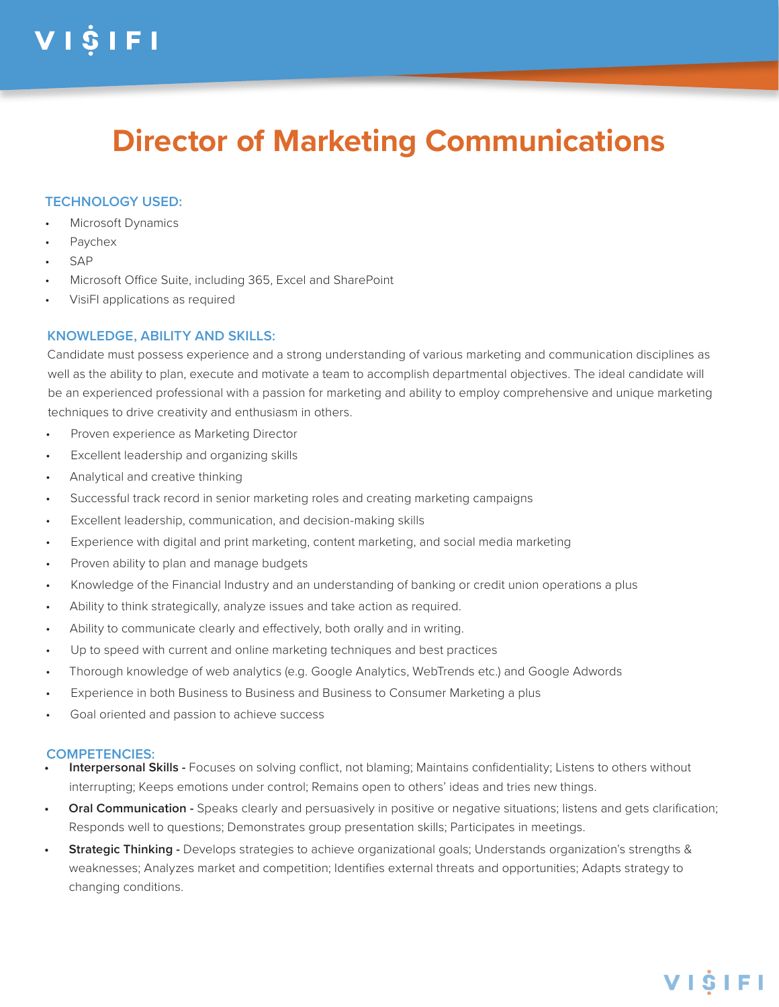# VIŜIFI

### **Director of Marketing Communications**

#### **TECHNOLOGY USED:**

- Microsoft Dynamics
- Paychex
- SAP
- Microsoft Office Suite, including 365, Excel and SharePoint
- VisiFI applications as required

#### **KNOWLEDGE, ABILITY AND SKILLS:**

Candidate must possess experience and a strong understanding of various marketing and communication disciplines as well as the ability to plan, execute and motivate a team to accomplish departmental objectives. The ideal candidate will be an experienced professional with a passion for marketing and ability to employ comprehensive and unique marketing techniques to drive creativity and enthusiasm in others.

- Proven experience as Marketing Director
- Excellent leadership and organizing skills
- Analytical and creative thinking
- Successful track record in senior marketing roles and creating marketing campaigns
- Excellent leadership, communication, and decision-making skills
- Experience with digital and print marketing, content marketing, and social media marketing
- Proven ability to plan and manage budgets
- Knowledge of the Financial Industry and an understanding of banking or credit union operations a plus
- Ability to think strategically, analyze issues and take action as required.
- Ability to communicate clearly and effectively, both orally and in writing.
- Up to speed with current and online marketing techniques and best practices
- Thorough knowledge of web analytics (e.g. Google Analytics, WebTrends etc.) and Google Adwords
- Experience in both Business to Business and Business to Consumer Marketing a plus
- Goal oriented and passion to achieve success

#### **COMPETENCIES:**

- **• Interpersonal Skills** Focuses on solving conflict, not blaming; Maintains confidentiality; Listens to others without interrupting; Keeps emotions under control; Remains open to others' ideas and tries new things.
- **Oral Communication -** Speaks clearly and persuasively in positive or negative situations; listens and gets clarification; Responds well to questions; Demonstrates group presentation skills; Participates in meetings.
- **• Strategic Thinking** Develops strategies to achieve organizational goals; Understands organization's strengths & weaknesses; Analyzes market and competition; Identifies external threats and opportunities; Adapts strategy to changing conditions.

### VISIFI